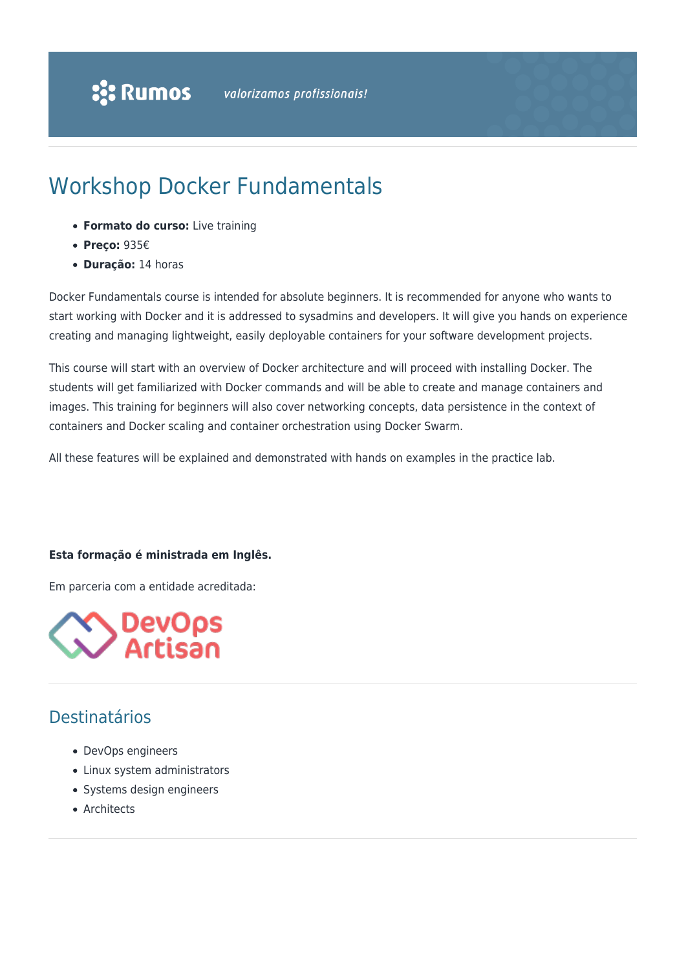# Workshop Docker Fundamentals

- **Formato do curso:** Live training
- **Preço:** 935€
- **Duração:** 14 horas

Docker Fundamentals course is intended for absolute beginners. It is recommended for anyone who wants to start working with Docker and it is addressed to sysadmins and developers. It will give you hands on experience creating and managing lightweight, easily deployable containers for your software development projects.

This course will start with an overview of Docker architecture and will proceed with installing Docker. The students will get familiarized with Docker commands and will be able to create and manage containers and images. This training for beginners will also cover networking concepts, data persistence in the context of containers and Docker scaling and container orchestration using Docker Swarm.

All these features will be explained and demonstrated with hands on examples in the practice lab.

#### **Esta formação é ministrada em Inglês.**

Em parceria com a entidade acreditada:



## Destinatários

- DevOps engineers
- Linux system administrators
- Systems design engineers
- Architects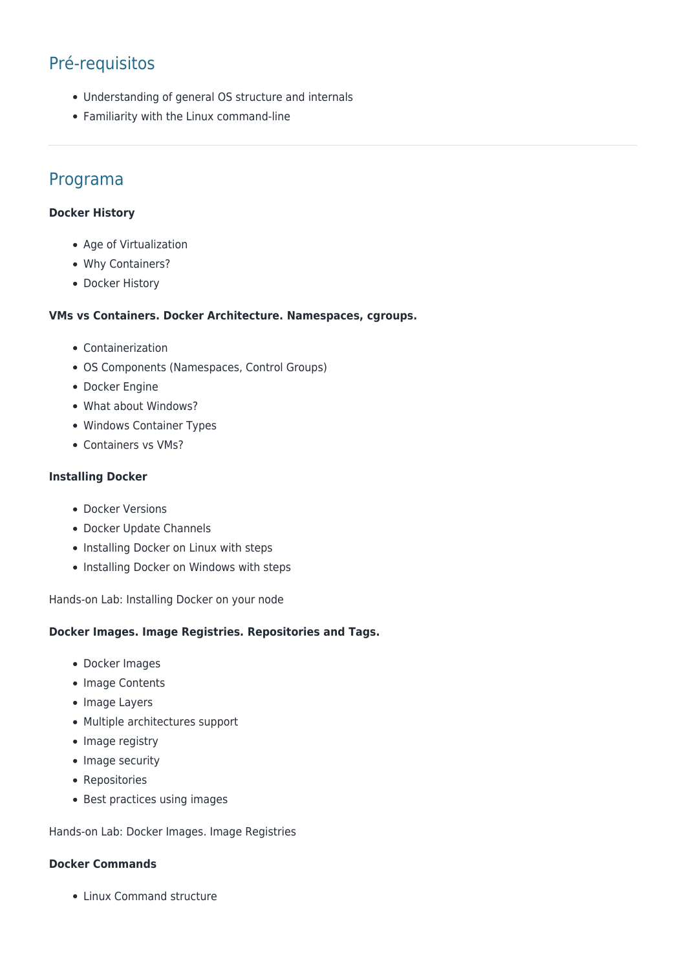# Pré-requisitos

- Understanding of general OS structure and internals
- Familiarity with the Linux command-line

### Programa

#### **Docker History**

- Age of Virtualization
- Why Containers?
- Docker History

#### **VMs vs Containers. Docker Architecture. Namespaces, cgroups.**

- Containerization
- OS Components (Namespaces, Control Groups)
- Docker Engine
- What about Windows?
- Windows Container Types
- Containers vs VMs?

#### **Installing Docker**

- Docker Versions
- Docker Update Channels
- Installing Docker on Linux with steps
- Installing Docker on Windows with steps

Hands-on Lab: Installing Docker on your node

#### **Docker Images. Image Registries. Repositories and Tags.**

- Docker Images
- Image Contents
- Image Layers
- Multiple architectures support
- Image registry
- Image security
- Repositories
- Best practices using images

Hands-on Lab: Docker Images. Image Registries

#### **Docker Commands**

• Linux Command structure